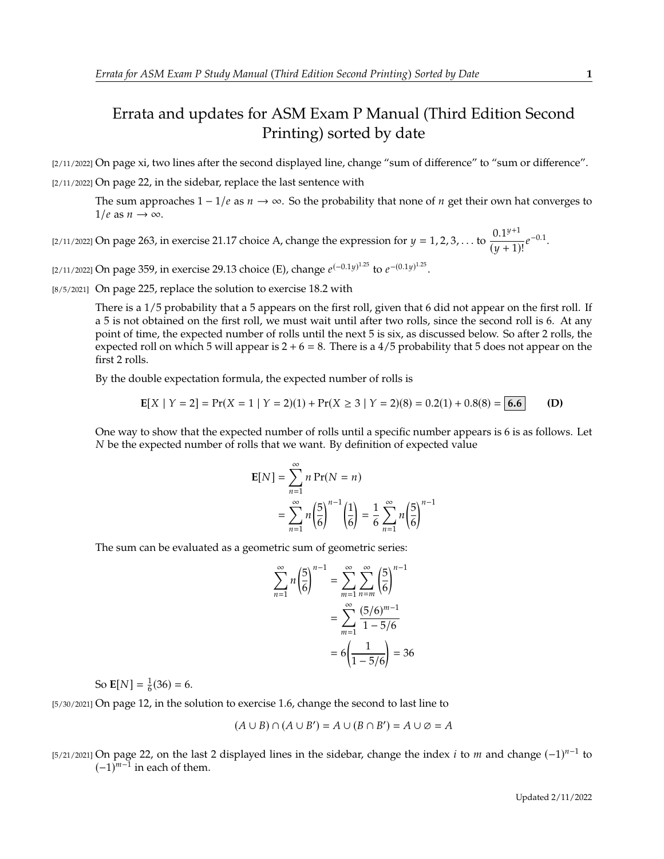## Errata and updates for ASM Exam P Manual (Third Edition Second Printing) sorted by date

[2/11/2022] On page xi, two lines after the second displayed line, change "sum of difference" to "sum or difference". [2/11/2022] On page 22, in the sidebar, replace the last sentence with

The sum approaches  $1 - 1/e$  as  $n \to \infty$ . So the probability that none of *n* get their own hat converges to  $1/e$  as  $n \to \infty$ .

[2/11/2022] On page 263, in exercise 21.17 choice A, change the expression for  $y = 1, 2, 3, ...$  to  $\frac{0.1^{y+1}}{(y+1)}$  $\frac{0.1^{y}}{(y+1)!}e^{-0.1}.$ 

[2/11/2022] On page 359, in exercise 29.13 choice (E), change  $e^{(-0.1y)^{1.25}}$  to  $e^{-(0.1y)^{1.25}}$ .

[8/5/2021] On page 225, replace the solution to exercise 18.2 with

There is a 1/5 probability that a 5 appears on the first roll, given that 6 did not appear on the first roll. If a 5 is not obtained on the first roll, we must wait until after two rolls, since the second roll is 6. At any point of time, the expected number of rolls until the next 5 is six, as discussed below. So after 2 rolls, the expected roll on which 5 will appear is  $2 + 6 = 8$ . There is a 4/5 probability that 5 does not appear on the first 2 rolls.

By the double expectation formula, the expected number of rolls is

$$
E[X \mid Y = 2] = Pr(X = 1 \mid Y = 2)(1) + Pr(X \ge 3 \mid Y = 2)(8) = 0.2(1) + 0.8(8) = 6.6
$$
 (D)

One way to show that the expected number of rolls until a specific number appears is 6 is as follows. Let  $N$  be the expected number of rolls that we want. By definition of expected value

$$
E[N] = \sum_{n=1}^{\infty} n Pr(N = n)
$$
  
= 
$$
\sum_{n=1}^{\infty} n \left(\frac{5}{6}\right)^{n-1} \left(\frac{1}{6}\right) = \frac{1}{6} \sum_{n=1}^{\infty} n \left(\frac{5}{6}\right)^{n-1}
$$

The sum can be evaluated as a geometric sum of geometric series:

$$
\sum_{n=1}^{\infty} n \left(\frac{5}{6}\right)^{n-1} = \sum_{m=1}^{\infty} \sum_{n=m}^{\infty} \left(\frac{5}{6}\right)^{n-1}
$$

$$
= \sum_{m=1}^{\infty} \frac{(5/6)^{m-1}}{1-5/6}
$$

$$
= 6\left(\frac{1}{1-5/6}\right) = 36
$$

So **E**[N] =  $\frac{1}{6}$ (36) = 6.

[5/30/2021] On page 12, in the solution to exercise 1.6, change the second to last line to

$$
(A \cup B) \cap (A \cup B') = A \cup (B \cap B') = A \cup \emptyset = A
$$

[5/21/2021] On page 22, on the last 2 displayed lines in the sidebar, change the index *i* to *m* and change  $(-1)^{n-1}$  to  $(-1)^{n-1}$  in each of them  $(-1)^{m-1}$  in each of them.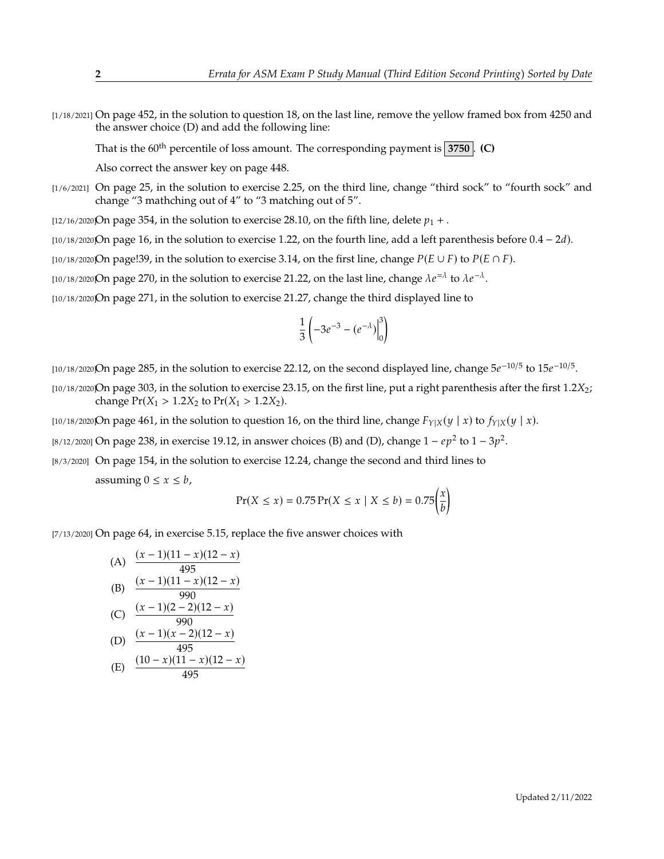[1/18/2021] On page 452, in the solution to question 18, on the last line, remove the yellow framed box from 4250 and the answer choice (D) and add the following line:

That is the  $60<sup>th</sup>$  percentile of loss amount. The corresponding payment is  $3750$ . **(C)** 

Also correct the answer key on page 448.

[1/6/2021] On page 25, in the solution to exercise 2.25, on the third line, change "third sock" to "fourth sock" and change "3 mathching out of 4" to "3 matching out of 5".

[12/16/2020]On page 354, in the solution to exercise 28.10, on the fifth line, delete  $p_1 +$ .

[ $10/18/2020$ On page 16, in the solution to exercise 1.22, on the fourth line, add a left parenthesis before  $0.4 - 2d$ ).

[10/18/2020]On page!39, in the solution to exercise 3.14, on the first line, change  $P(E \cup F)$  to  $P(E \cap F)$ .

[10/18/2020]On page 270, in the solution to exercise 21.22, on the last line, change  $\lambda e^{-\lambda}$  to  $\lambda e^{-\lambda}$ .

[10/18/2020]On page 271, in the solution to exercise 21.27, change the third displayed line to

$$
\frac{1}{3}\left(-3e^{-3}-(e^{-\lambda})\Big|_0^3\right)
$$

[10/18/2020]On page 285, in the solution to exercise 22.12, on the second displayed line, change  $5e^{-10/5}$  to  $15e^{-10/5}$ .

- [10/18/2020]On page 303, in the solution to exercise 23.15, on the first line, put a right parenthesis after the first  $1.2X_2$ ; change  $Pr(X_1 > 1.2X_2)$  to  $Pr(X_1 > 1.2X_2)$ .
- [10/18/2020]On page 461, in the solution to question 16, on the third line, change  $F_{Y|X}(y | x)$  to  $f_{Y|X}(y | x)$ .
- [8/12/2020] On page 238, in exercise 19.12, in answer choices (B) and (D), change  $1 ep^2$  to  $1 3p^2$ .
- [8/3/2020] On page 154, in the solution to exercise 12.24, change the second and third lines to

assuming  $0 \le x \le b$ ,

$$
Pr(X \le x) = 0.75 Pr(X \le x \mid X \le b) = 0.75 \left(\frac{x}{b}\right)
$$

[7/13/2020] On page 64, in exercise 5.15, replace the five answer choices with

(A) 
$$
\frac{(x-1)(11-x)(12-x)}{495}
$$
  
\n(B) 
$$
\frac{(x-1)(11-x)(12-x)}{990}
$$
  
\n(C) 
$$
\frac{(x-1)(2-2)(12-x)}{990}
$$
  
\n(D) 
$$
\frac{(x-1)(x-2)(12-x)}{495}
$$
  
\n
$$
\frac{(10-x)(11-x)(12-x)}{495}
$$

(E) 
$$
\frac{(10-x)(11-x)(12-x)}{495}
$$